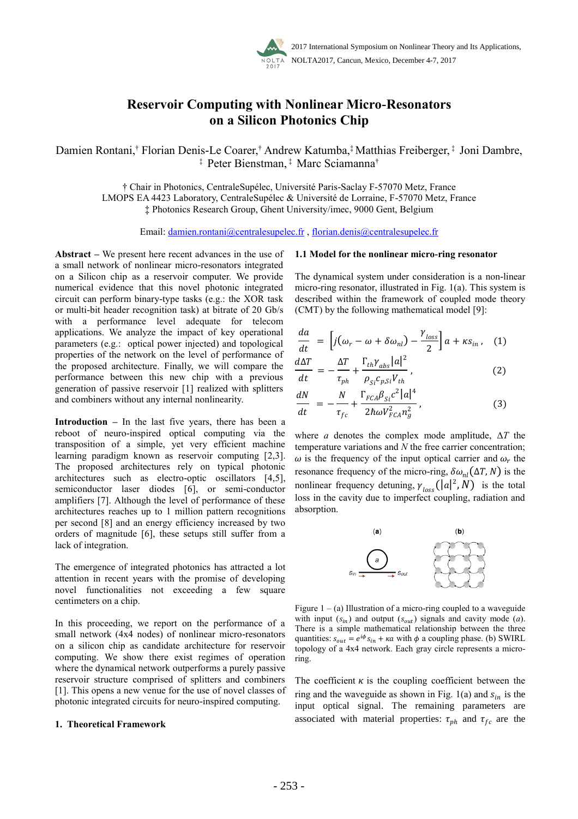

# **Reservoir Computing with Nonlinear Micro-Resonators on a Silicon Photonics Chip**

Damien Rontani,† Florian Denis-Le Coarer,† Andrew Katumba,‡ Matthias Freiberger, ‡ Joni Dambre, ‡ Peter Bienstman, ‡ Marc Sciamanna†

† Chair in Photonics, CentraleSupélec, Université Paris-Saclay F-57070 Metz, France LMOPS EA 4423 Laboratory, CentraleSupélec & Université de Lorraine, F-57070 Metz, France ‡ Photonics Research Group, Ghent University/imec, 9000 Gent, Belgium

Email: damien.rontani@centralesupelec.fr , florian.denis@centralesupelec.fr

**Abstract –** We present here recent advances in the use of a small network of nonlinear micro-resonators integrated on a Silicon chip as a reservoir computer. We provide numerical evidence that this novel photonic integrated circuit can perform binary-type tasks (e.g.: the XOR task or multi-bit header recognition task) at bitrate of 20 Gb/s with a performance level adequate for telecom applications. We analyze the impact of key operational parameters (e.g.: optical power injected) and topological properties of the network on the level of performance of the proposed architecture. Finally, we will compare the performance between this new chip with a previous generation of passive reservoir [1] realized with splitters and combiners without any internal nonlinearity.

**Introduction –** In the last five years, there has been a reboot of neuro-inspired optical computing via the transposition of a simple, yet very efficient machine learning paradigm known as reservoir computing [2,3]. The proposed architectures rely on typical photonic architectures such as electro-optic oscillators [4,5], semiconductor laser diodes [6], or semi-conductor amplifiers [7]. Although the level of performance of these architectures reaches up to 1 million pattern recognitions per second [8] and an energy efficiency increased by two orders of magnitude [6], these setups still suffer from a lack of integration.

The emergence of integrated photonics has attracted a lot attention in recent years with the promise of developing novel functionalities not exceeding a few square centimeters on a chip.

In this proceeding, we report on the performance of a small network (4x4 nodes) of nonlinear micro-resonators on a silicon chip as candidate architecture for reservoir computing. We show there exist regimes of operation where the dynamical network outperforms a purely passive reservoir structure comprised of splitters and combiners [1]. This opens a new venue for the use of novel classes of photonic integrated circuits for neuro-inspired computing.

#### **1. Theoretical Framework**

#### **1.1 Model for the nonlinear micro-ring resonator**

The dynamical system under consideration is a non-linear micro-ring resonator, illustrated in Fig. 1(a). This system is described within the framework of coupled mode theory (CMT) by the following mathematical model [9]:

$$
\frac{da}{dt} = \left[ j(\omega_r - \omega + \delta \omega_{nl}) - \frac{\gamma_{loss}}{2} \right] a + \kappa s_{in} , \quad (1)
$$
  

$$
d\Delta T \qquad \Delta T \qquad \Gamma_{th} \gamma_{abs} |a|^2 \qquad (2)
$$

$$
\frac{d\mathbf{r}}{dt} = -\frac{1}{\tau_{ph}} + \frac{m \frac{d\mathbf{r}}{d\mathbf{r}}}{\rho_{Si} c_{p,Si} V_{th}},
$$
(2)

$$
\frac{dN}{dt} = -\frac{N}{\tau_{fc}} + \frac{\Gamma_{FCA}\beta_{Si}c^2|a|^4}{2\hbar\omega V_{FCA}^2 n_g^2},
$$
\n(3)

where *a* denotes the complex mode amplitude,  $\Delta T$  the temperature variations and *N* the free carrier concentration;  $\omega$  is the frequency of the input optical carrier and  $\omega_r$  the resonance frequency of the micro-ring,  $\delta \omega_{nl}(\Delta T, N)$  is the nonlinear frequency detuning,  $\gamma_{loss}(|a|^2, N)$  is the total loss in the cavity due to imperfect coupling, radiation and absorption.



Figure  $1 - (a)$  Illustration of a micro-ring coupled to a waveguide with input  $(s_{in})$  and output  $(s_{out})$  signals and cavity mode (*a*). There is a simple mathematical relationship between the three quantities:  $s_{out} = e^{i\phi} s_{in} + \kappa a$  with  $\phi$  a coupling phase. (b) SWIRL topology of a 4x4 network. Each gray circle represents a microring.

The coefficient  $\kappa$  is the coupling coefficient between the ring and the waveguide as shown in Fig. 1(a) and  $s_{in}$  is the input optical signal. The remaining parameters are associated with material properties:  $\tau_{ph}$  and  $\tau_{fc}$  are the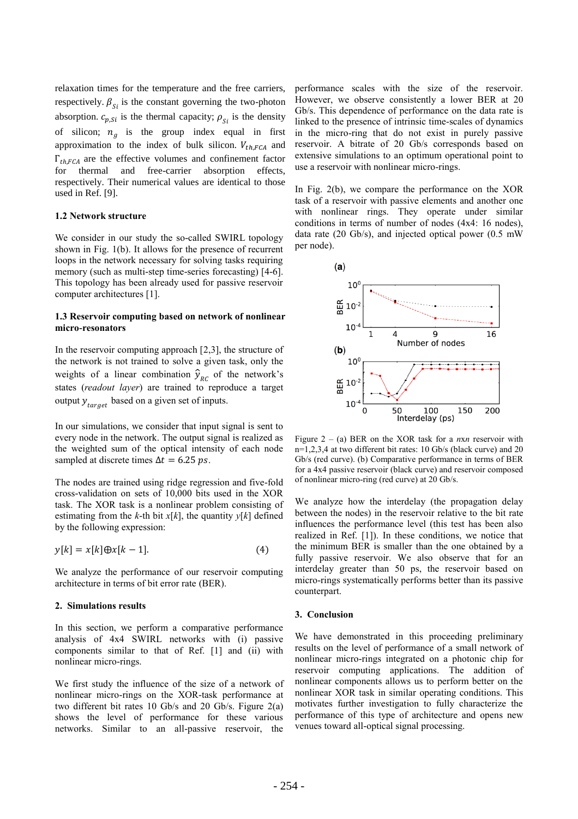relaxation times for the temperature and the free carriers, respectively.  $\beta_{\rm ci}$  is the constant governing the two-photon absorption.  $c_{p,Si}$  is the thermal capacity;  $\rho_{Si}$  is the density of silicon;  $n_g$  is the group index equal in first approximation to the index of bulk silicon.  $V_{th, FCA}$  and  $\Gamma_{th, FCA}$  are the effective volumes and confinement factor for thermal and free-carrier absorption effects, respectively. Their numerical values are identical to those used in Ref. [9].

### **1.2 Network structure**

We consider in our study the so-called SWIRL topology shown in Fig. 1(b). It allows for the presence of recurrent loops in the network necessary for solving tasks requiring memory (such as multi-step time-series forecasting) [4-6]. This topology has been already used for passive reservoir computer architectures [1].

# **1.3 Reservoir computing based on network of nonlinear micro-resonators**

In the reservoir computing approach [2,3], the structure of the network is not trained to solve a given task, only the weights of a linear combination  $\hat{y}_{RC}$  of the network's states (*readout layer*) are trained to reproduce a target output  $y_{target}$  based on a given set of inputs.

In our simulations, we consider that input signal is sent to every node in the network. The output signal is realized as the weighted sum of the optical intensity of each node sampled at discrete times  $\Delta t = 6.25 \text{ ps}$ .

The nodes are trained using ridge regression and five-fold cross-validation on sets of 10,000 bits used in the XOR task. The XOR task is a nonlinear problem consisting of estimating from the *k*-th bit  $x[k]$ , the quantity  $y[k]$  defined by the following expression:

$$
y[k] = x[k] \oplus x[k-1]. \tag{4}
$$

We analyze the performance of our reservoir computing architecture in terms of bit error rate (BER).

#### **2. Simulations results**

In this section, we perform a comparative performance analysis of 4x4 SWIRL networks with (i) passive components similar to that of Ref. [1] and (ii) with nonlinear micro-rings.

We first study the influence of the size of a network of nonlinear micro-rings on the XOR-task performance at two different bit rates 10 Gb/s and 20 Gb/s. Figure 2(a) shows the level of performance for these various networks. Similar to an all-passive reservoir, the

performance scales with the size of the reservoir. However, we observe consistently a lower BER at 20 Gb/s. This dependence of performance on the data rate is linked to the presence of intrinsic time-scales of dynamics in the micro-ring that do not exist in purely passive reservoir. A bitrate of 20 Gb/s corresponds based on extensive simulations to an optimum operational point to use a reservoir with nonlinear micro-rings.

In Fig. 2(b), we compare the performance on the XOR task of a reservoir with passive elements and another one with nonlinear rings. They operate under similar conditions in terms of number of nodes (4x4: 16 nodes), data rate (20 Gb/s), and injected optical power (0.5 mW per node).



Figure 2 – (a) BER on the XOR task for a *n*x*n* reservoir with n=1,2,3,4 at two different bit rates: 10 Gb/s (black curve) and 20 Gb/s (red curve). (b) Comparative performance in terms of BER for a 4x4 passive reservoir (black curve) and reservoir composed of nonlinear micro-ring (red curve) at 20 Gb/s.

We analyze how the interdelay (the propagation delay between the nodes) in the reservoir relative to the bit rate influences the performance level (this test has been also realized in Ref. [1]). In these conditions, we notice that the minimum BER is smaller than the one obtained by a fully passive reservoir. We also observe that for an interdelay greater than 50 ps, the reservoir based on micro-rings systematically performs better than its passive counterpart.

#### **3. Conclusion**

We have demonstrated in this proceeding preliminary results on the level of performance of a small network of nonlinear micro-rings integrated on a photonic chip for reservoir computing applications. The addition of nonlinear components allows us to perform better on the nonlinear XOR task in similar operating conditions. This motivates further investigation to fully characterize the performance of this type of architecture and opens new venues toward all-optical signal processing.